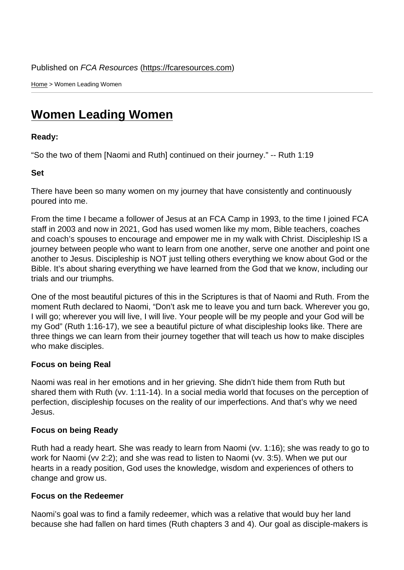Home > Women Leading Women

## [Wo](https://fcaresources.com/)men Leading Women

Ready:

["So the two of them \[Naomi and Ruth\] c](https://fcaresources.com/devotional/women-leading-women)ontinued on their journey." -- Ruth 1:19

Set

There have been so many women on my journey that have consistently and continuously poured into me.

From the time I became a follower of Jesus at an FCA Camp in 1993, to the time I joined FCA staff in 2003 and now in 2021, God has used women like my mom, Bible teachers, coaches and coach's spouses to encourage and empower me in my walk with Christ. Discipleship IS a journey between people who want to learn from one another, serve one another and point one another to Jesus. Discipleship is NOT just telling others everything we know about God or the Bible. It's about sharing everything we have learned from the God that we know, including our trials and our triumphs.

One of the most beautiful pictures of this in the Scriptures is that of Naomi and Ruth. From the moment Ruth declared to Naomi, "Don't ask me to leave you and turn back. Wherever you go, I will go; wherever you will live, I will live. Your people will be my people and your God will be my God" (Ruth 1:16-17), we see a beautiful picture of what discipleship looks like. There are three things we can learn from their journey together that will teach us how to make disciples who make disciples.

## Focus on being Real

Naomi was real in her emotions and in her grieving. She didn't hide them from Ruth but shared them with Ruth (vv. 1:11-14). In a social media world that focuses on the perception of perfection, discipleship focuses on the reality of our imperfections. And that's why we need Jesus.

## Focus on being Ready

Ruth had a ready heart. She was ready to learn from Naomi (vv. 1:16); she was ready to go to work for Naomi (vv 2:2); and she was read to listen to Naomi (vv. 3:5). When we put our hearts in a ready position, God uses the knowledge, wisdom and experiences of others to change and grow us.

## Focus on the Redeemer

Naomi's goal was to find a family redeemer, which was a relative that would buy her land because she had fallen on hard times (Ruth chapters 3 and 4). Our goal as disciple-makers is